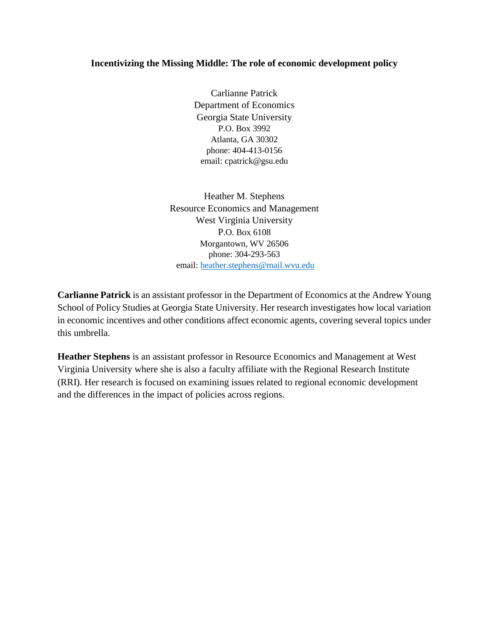## **Incentivizing the Missing Middle: The role of economic development policy**

Carlianne Patrick Department of Economics Georgia State University P.O. Box 3992 Atlanta, GA 30302 phone: 404-413-0156 email: cpatrick@gsu.edu

Heather M. Stephens Resource Economics and Management West Virginia University P.O. Box 6108 Morgantown, WV 26506 phone: 304-293-563 email: [heather.stephens@mail.wvu.edu](mailto:heather.stephens@mail.wvu.edu)

**Carlianne Patrick** is an assistant professor in the Department of Economics at the Andrew Young School of Policy Studies at Georgia State University. Her research investigates how local variation in economic incentives and other conditions affect economic agents, covering several topics under this umbrella.

**Heather Stephens** is an assistant professor in Resource Economics and Management at West Virginia University where she is also a faculty affiliate with the Regional Research Institute (RRI). Her research is focused on examining issues related to regional economic development and the differences in the impact of policies across regions.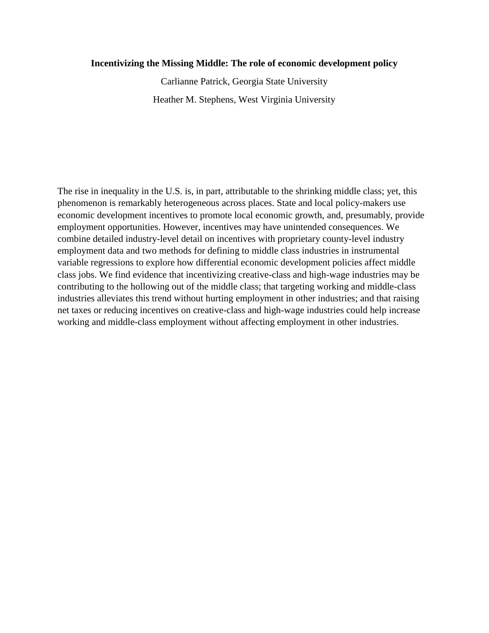### **Incentivizing the Missing Middle: The role of economic development policy**

Carlianne Patrick, Georgia State University Heather M. Stephens, West Virginia University

The rise in inequality in the U.S. is, in part, attributable to the shrinking middle class; yet, this phenomenon is remarkably heterogeneous across places. State and local policy-makers use economic development incentives to promote local economic growth, and, presumably, provide employment opportunities. However, incentives may have unintended consequences. We combine detailed industry-level detail on incentives with proprietary county-level industry employment data and two methods for defining to middle class industries in instrumental variable regressions to explore how differential economic development policies affect middle class jobs. We find evidence that incentivizing creative-class and high-wage industries may be contributing to the hollowing out of the middle class; that targeting working and middle-class industries alleviates this trend without hurting employment in other industries; and that raising net taxes or reducing incentives on creative-class and high-wage industries could help increase working and middle-class employment without affecting employment in other industries.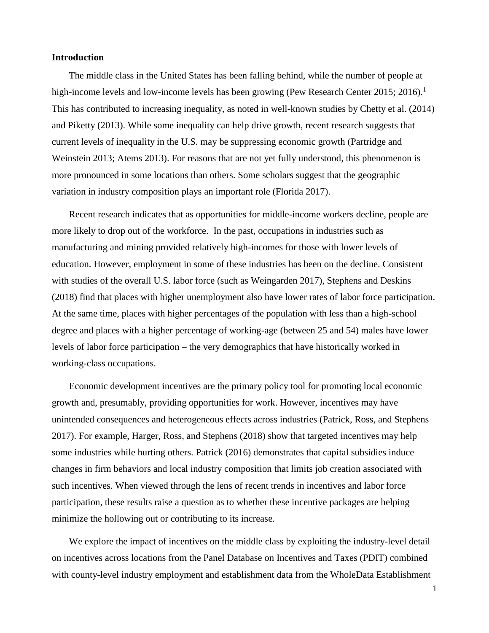### **Introduction**

The middle class in the United States has been falling behind, while the number of people at high-income levels and low-income levels has been growing (Pew Research Center 2015; 2016).<sup>1</sup> This has contributed to increasing inequality, as noted in well-known studies by Chetty et al. (2014) and Piketty (2013). While some inequality can help drive growth, recent research suggests that current levels of inequality in the U.S. may be suppressing economic growth (Partridge and Weinstein 2013; Atems 2013). For reasons that are not yet fully understood, this phenomenon is more pronounced in some locations than others. Some scholars suggest that the geographic variation in industry composition plays an important role (Florida 2017).

Recent research indicates that as opportunities for middle-income workers decline, people are more likely to drop out of the workforce. In the past, occupations in industries such as manufacturing and mining provided relatively high-incomes for those with lower levels of education. However, employment in some of these industries has been on the decline. Consistent with studies of the overall U.S. labor force (such as Weingarden 2017), Stephens and Deskins (2018) find that places with higher unemployment also have lower rates of labor force participation. At the same time, places with higher percentages of the population with less than a high-school degree and places with a higher percentage of working-age (between 25 and 54) males have lower levels of labor force participation – the very demographics that have historically worked in working-class occupations.

Economic development incentives are the primary policy tool for promoting local economic growth and, presumably, providing opportunities for work. However, incentives may have unintended consequences and heterogeneous effects across industries (Patrick, Ross, and Stephens 2017). For example, Harger, Ross, and Stephens (2018) show that targeted incentives may help some industries while hurting others. Patrick (2016) demonstrates that capital subsidies induce changes in firm behaviors and local industry composition that limits job creation associated with such incentives. When viewed through the lens of recent trends in incentives and labor force participation, these results raise a question as to whether these incentive packages are helping minimize the hollowing out or contributing to its increase.

We explore the impact of incentives on the middle class by exploiting the industry-level detail on incentives across locations from the Panel Database on Incentives and Taxes (PDIT) combined with county-level industry employment and establishment data from the WholeData Establishment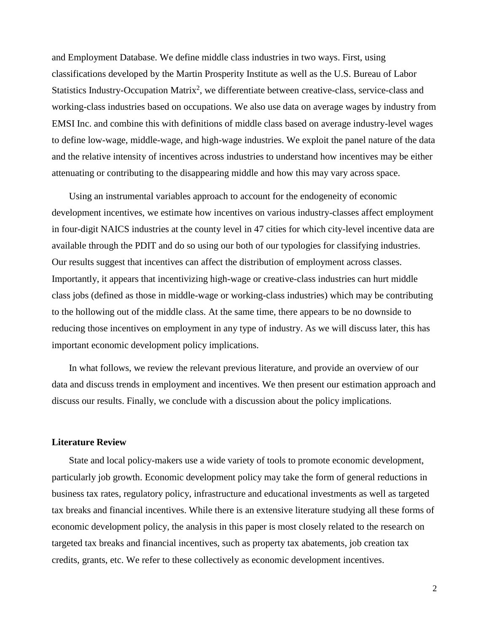and Employment Database. We define middle class industries in two ways. First, using classifications developed by the Martin Prosperity Institute as well as the U.S. Bureau of Labor Statistics Industry-Occupation Matrix<sup>2</sup>, we differentiate between creative-class, service-class and working-class industries based on occupations. We also use data on average wages by industry from EMSI Inc. and combine this with definitions of middle class based on average industry-level wages to define low-wage, middle-wage, and high-wage industries. We exploit the panel nature of the data and the relative intensity of incentives across industries to understand how incentives may be either attenuating or contributing to the disappearing middle and how this may vary across space.

Using an instrumental variables approach to account for the endogeneity of economic development incentives, we estimate how incentives on various industry-classes affect employment in four-digit NAICS industries at the county level in 47 cities for which city-level incentive data are available through the PDIT and do so using our both of our typologies for classifying industries. Our results suggest that incentives can affect the distribution of employment across classes. Importantly, it appears that incentivizing high-wage or creative-class industries can hurt middle class jobs (defined as those in middle-wage or working-class industries) which may be contributing to the hollowing out of the middle class. At the same time, there appears to be no downside to reducing those incentives on employment in any type of industry. As we will discuss later, this has important economic development policy implications.

In what follows, we review the relevant previous literature, and provide an overview of our data and discuss trends in employment and incentives. We then present our estimation approach and discuss our results. Finally, we conclude with a discussion about the policy implications.

#### **Literature Review**

State and local policy-makers use a wide variety of tools to promote economic development, particularly job growth. Economic development policy may take the form of general reductions in business tax rates, regulatory policy, infrastructure and educational investments as well as targeted tax breaks and financial incentives. While there is an extensive literature studying all these forms of economic development policy, the analysis in this paper is most closely related to the research on targeted tax breaks and financial incentives, such as property tax abatements, job creation tax credits, grants, etc. We refer to these collectively as economic development incentives.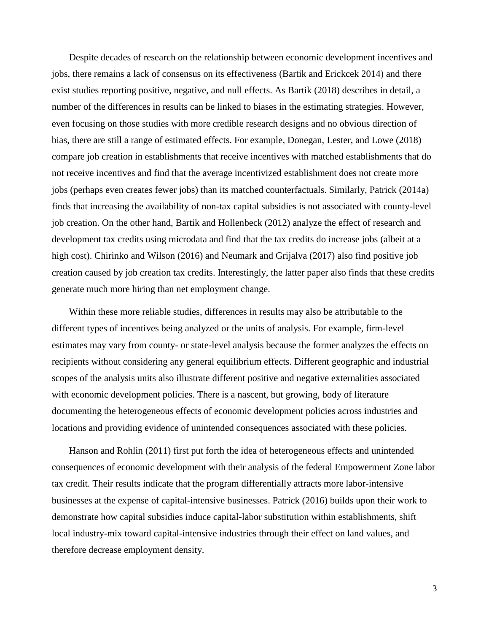Despite decades of research on the relationship between economic development incentives and jobs, there remains a lack of consensus on its effectiveness (Bartik and Erickcek 2014) and there exist studies reporting positive, negative, and null effects. As Bartik (2018) describes in detail, a number of the differences in results can be linked to biases in the estimating strategies. However, even focusing on those studies with more credible research designs and no obvious direction of bias, there are still a range of estimated effects. For example, Donegan, Lester, and Lowe (2018) compare job creation in establishments that receive incentives with matched establishments that do not receive incentives and find that the average incentivized establishment does not create more jobs (perhaps even creates fewer jobs) than its matched counterfactuals. Similarly, Patrick (2014a) finds that increasing the availability of non-tax capital subsidies is not associated with county-level job creation. On the other hand, Bartik and Hollenbeck (2012) analyze the effect of research and development tax credits using microdata and find that the tax credits do increase jobs (albeit at a high cost). Chirinko and Wilson (2016) and Neumark and Grijalva (2017) also find positive job creation caused by job creation tax credits. Interestingly, the latter paper also finds that these credits generate much more hiring than net employment change.

Within these more reliable studies, differences in results may also be attributable to the different types of incentives being analyzed or the units of analysis. For example, firm-level estimates may vary from county- or state-level analysis because the former analyzes the effects on recipients without considering any general equilibrium effects. Different geographic and industrial scopes of the analysis units also illustrate different positive and negative externalities associated with economic development policies. There is a nascent, but growing, body of literature documenting the heterogeneous effects of economic development policies across industries and locations and providing evidence of unintended consequences associated with these policies.

Hanson and Rohlin (2011) first put forth the idea of heterogeneous effects and unintended consequences of economic development with their analysis of the federal Empowerment Zone labor tax credit. Their results indicate that the program differentially attracts more labor-intensive businesses at the expense of capital-intensive businesses. Patrick (2016) builds upon their work to demonstrate how capital subsidies induce capital-labor substitution within establishments, shift local industry-mix toward capital-intensive industries through their effect on land values, and therefore decrease employment density.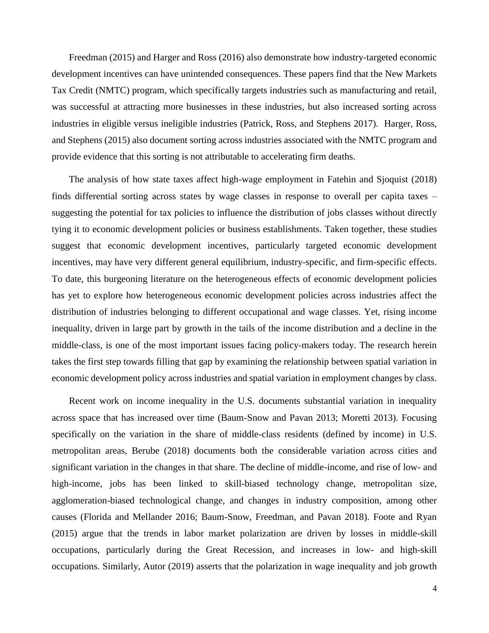Freedman (2015) and Harger and Ross (2016) also demonstrate how industry-targeted economic development incentives can have unintended consequences. These papers find that the New Markets Tax Credit (NMTC) program, which specifically targets industries such as manufacturing and retail, was successful at attracting more businesses in these industries, but also increased sorting across industries in eligible versus ineligible industries (Patrick, Ross, and Stephens 2017). Harger, Ross, and Stephens (2015) also document sorting across industries associated with the NMTC program and provide evidence that this sorting is not attributable to accelerating firm deaths.

The analysis of how state taxes affect high-wage employment in Fatehin and Sjoquist (2018) finds differential sorting across states by wage classes in response to overall per capita taxes – suggesting the potential for tax policies to influence the distribution of jobs classes without directly tying it to economic development policies or business establishments. Taken together, these studies suggest that economic development incentives, particularly targeted economic development incentives, may have very different general equilibrium, industry-specific, and firm-specific effects. To date, this burgeoning literature on the heterogeneous effects of economic development policies has yet to explore how heterogeneous economic development policies across industries affect the distribution of industries belonging to different occupational and wage classes. Yet, rising income inequality, driven in large part by growth in the tails of the income distribution and a decline in the middle-class, is one of the most important issues facing policy-makers today. The research herein takes the first step towards filling that gap by examining the relationship between spatial variation in economic development policy across industries and spatial variation in employment changes by class.

Recent work on income inequality in the U.S. documents substantial variation in inequality across space that has increased over time (Baum-Snow and Pavan 2013; Moretti 2013). Focusing specifically on the variation in the share of middle-class residents (defined by income) in U.S. metropolitan areas, Berube (2018) documents both the considerable variation across cities and significant variation in the changes in that share. The decline of middle-income, and rise of low- and high-income, jobs has been linked to skill-biased technology change, metropolitan size, agglomeration-biased technological change, and changes in industry composition, among other causes (Florida and Mellander 2016; Baum-Snow, Freedman, and Pavan 2018). Foote and Ryan (2015) argue that the trends in labor market polarization are driven by losses in middle-skill occupations, particularly during the Great Recession, and increases in low- and high-skill occupations. Similarly, Autor (2019) asserts that the polarization in wage inequality and job growth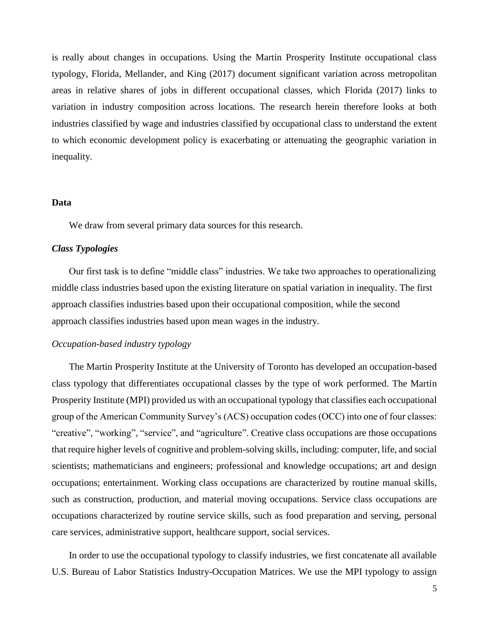is really about changes in occupations. Using the Martin Prosperity Institute occupational class typology, Florida, Mellander, and King (2017) document significant variation across metropolitan areas in relative shares of jobs in different occupational classes, which Florida (2017) links to variation in industry composition across locations. The research herein therefore looks at both industries classified by wage and industries classified by occupational class to understand the extent to which economic development policy is exacerbating or attenuating the geographic variation in inequality.

## **Data**

We draw from several primary data sources for this research.

#### *Class Typologies*

Our first task is to define "middle class" industries. We take two approaches to operationalizing middle class industries based upon the existing literature on spatial variation in inequality. The first approach classifies industries based upon their occupational composition, while the second approach classifies industries based upon mean wages in the industry.

## *Occupation-based industry typology*

The Martin Prosperity Institute at the University of Toronto has developed an occupation-based class typology that differentiates occupational classes by the type of work performed. The Martin Prosperity Institute (MPI) provided us with an occupational typology that classifies each occupational group of the American Community Survey's (ACS) occupation codes (OCC) into one of four classes: "creative", "working", "service", and "agriculture". Creative class occupations are those occupations that require higher levels of cognitive and problem-solving skills, including: computer, life, and social scientists; mathematicians and engineers; professional and knowledge occupations; art and design occupations; entertainment. Working class occupations are characterized by routine manual skills, such as construction, production, and material moving occupations. Service class occupations are occupations characterized by routine service skills, such as food preparation and serving, personal care services, administrative support, healthcare support, social services.

In order to use the occupational typology to classify industries, we first concatenate all available U.S. Bureau of Labor Statistics Industry-Occupation Matrices. We use the MPI typology to assign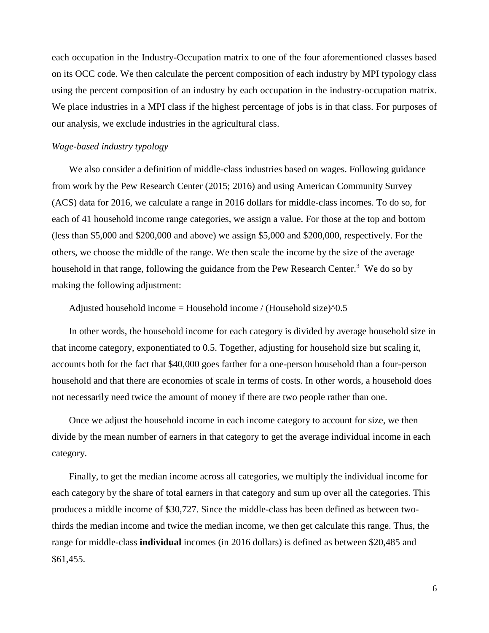each occupation in the Industry-Occupation matrix to one of the four aforementioned classes based on its OCC code. We then calculate the percent composition of each industry by MPI typology class using the percent composition of an industry by each occupation in the industry-occupation matrix. We place industries in a MPI class if the highest percentage of jobs is in that class. For purposes of our analysis, we exclude industries in the agricultural class.

## *Wage-based industry typology*

We also consider a definition of middle-class industries based on wages. Following guidance from work by the Pew Research Center (2015; 2016) and using American Community Survey (ACS) data for 2016, we calculate a range in 2016 dollars for middle-class incomes. To do so, for each of 41 household income range categories, we assign a value. For those at the top and bottom (less than \$5,000 and \$200,000 and above) we assign \$5,000 and \$200,000, respectively. For the others, we choose the middle of the range. We then scale the income by the size of the average household in that range, following the guidance from the Pew Research Center.<sup>3</sup> We do so by making the following adjustment:

Adjusted household income = Household income / (Household size) $\textdegree$ 0.5

In other words, the household income for each category is divided by average household size in that income category, exponentiated to 0.5. Together, adjusting for household size but scaling it, accounts both for the fact that \$40,000 goes farther for a one-person household than a four-person household and that there are economies of scale in terms of costs. In other words, a household does not necessarily need twice the amount of money if there are two people rather than one.

Once we adjust the household income in each income category to account for size, we then divide by the mean number of earners in that category to get the average individual income in each category.

Finally, to get the median income across all categories, we multiply the individual income for each category by the share of total earners in that category and sum up over all the categories. This produces a middle income of \$30,727. Since the middle-class has been defined as between twothirds the median income and twice the median income, we then get calculate this range. Thus, the range for middle-class **individual** incomes (in 2016 dollars) is defined as between \$20,485 and \$61,455.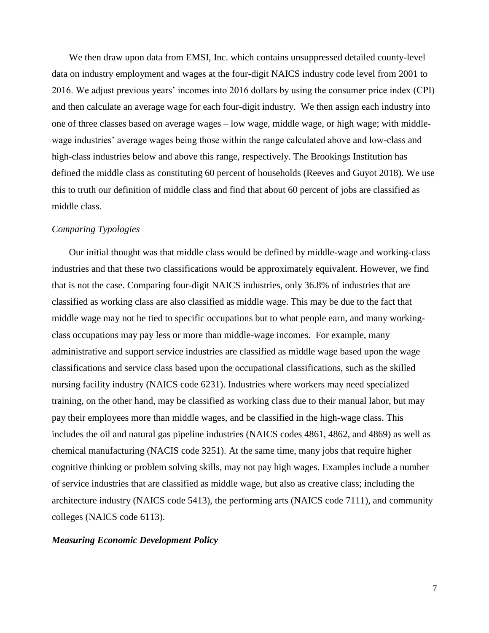We then draw upon data from EMSI, Inc. which contains unsuppressed detailed county-level data on industry employment and wages at the four-digit NAICS industry code level from 2001 to 2016. We adjust previous years' incomes into 2016 dollars by using the consumer price index (CPI) and then calculate an average wage for each four-digit industry. We then assign each industry into one of three classes based on average wages – low wage, middle wage, or high wage; with middlewage industries' average wages being those within the range calculated above and low-class and high-class industries below and above this range, respectively. The Brookings Institution has defined the middle class as constituting 60 percent of households (Reeves and Guyot 2018). We use this to truth our definition of middle class and find that about 60 percent of jobs are classified as middle class.

## *Comparing Typologies*

Our initial thought was that middle class would be defined by middle-wage and working-class industries and that these two classifications would be approximately equivalent. However, we find that is not the case. Comparing four-digit NAICS industries, only 36.8% of industries that are classified as working class are also classified as middle wage. This may be due to the fact that middle wage may not be tied to specific occupations but to what people earn, and many workingclass occupations may pay less or more than middle-wage incomes. For example, many administrative and support service industries are classified as middle wage based upon the wage classifications and service class based upon the occupational classifications, such as the skilled nursing facility industry (NAICS code 6231). Industries where workers may need specialized training, on the other hand, may be classified as working class due to their manual labor, but may pay their employees more than middle wages, and be classified in the high-wage class. This includes the oil and natural gas pipeline industries (NAICS codes 4861, 4862, and 4869) as well as chemical manufacturing (NACIS code 3251). At the same time, many jobs that require higher cognitive thinking or problem solving skills, may not pay high wages. Examples include a number of service industries that are classified as middle wage, but also as creative class; including the architecture industry (NAICS code 5413), the performing arts (NAICS code 7111), and community colleges (NAICS code 6113).

### *Measuring Economic Development Policy*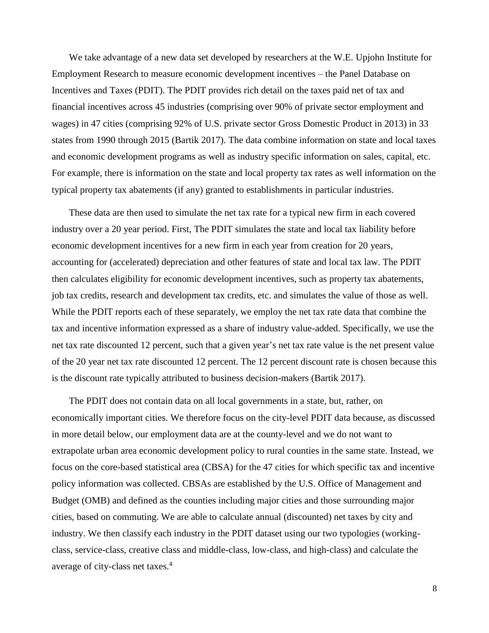We take advantage of a new data set developed by researchers at the W.E. Upjohn Institute for Employment Research to measure economic development incentives – the Panel Database on Incentives and Taxes (PDIT). The PDIT provides rich detail on the taxes paid net of tax and financial incentives across 45 industries (comprising over 90% of private sector employment and wages) in 47 cities (comprising 92% of U.S. private sector Gross Domestic Product in 2013) in 33 states from 1990 through 2015 (Bartik 2017). The data combine information on state and local taxes and economic development programs as well as industry specific information on sales, capital, etc. For example, there is information on the state and local property tax rates as well information on the typical property tax abatements (if any) granted to establishments in particular industries.

These data are then used to simulate the net tax rate for a typical new firm in each covered industry over a 20 year period. First, The PDIT simulates the state and local tax liability before economic development incentives for a new firm in each year from creation for 20 years, accounting for (accelerated) depreciation and other features of state and local tax law. The PDIT then calculates eligibility for economic development incentives, such as property tax abatements, job tax credits, research and development tax credits, etc. and simulates the value of those as well. While the PDIT reports each of these separately, we employ the net tax rate data that combine the tax and incentive information expressed as a share of industry value-added. Specifically, we use the net tax rate discounted 12 percent, such that a given year's net tax rate value is the net present value of the 20 year net tax rate discounted 12 percent. The 12 percent discount rate is chosen because this is the discount rate typically attributed to business decision-makers (Bartik 2017).

The PDIT does not contain data on all local governments in a state, but, rather, on economically important cities. We therefore focus on the city-level PDIT data because, as discussed in more detail below, our employment data are at the county-level and we do not want to extrapolate urban area economic development policy to rural counties in the same state. Instead, we focus on the core-based statistical area (CBSA) for the 47 cities for which specific tax and incentive policy information was collected. CBSAs are established by the U.S. Office of Management and Budget (OMB) and defined as the counties including major cities and those surrounding major cities, based on commuting. We are able to calculate annual (discounted) net taxes by city and industry. We then classify each industry in the PDIT dataset using our two typologies (workingclass, service-class, creative class and middle-class, low-class, and high-class) and calculate the average of city-class net taxes.<sup>4</sup>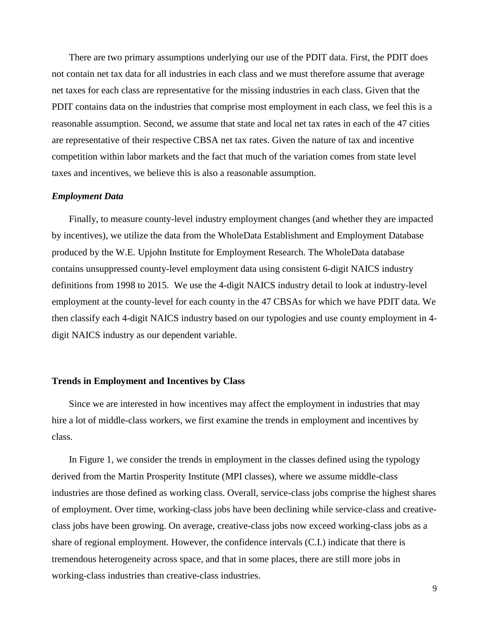There are two primary assumptions underlying our use of the PDIT data. First, the PDIT does not contain net tax data for all industries in each class and we must therefore assume that average net taxes for each class are representative for the missing industries in each class. Given that the PDIT contains data on the industries that comprise most employment in each class, we feel this is a reasonable assumption. Second, we assume that state and local net tax rates in each of the 47 cities are representative of their respective CBSA net tax rates. Given the nature of tax and incentive competition within labor markets and the fact that much of the variation comes from state level taxes and incentives, we believe this is also a reasonable assumption.

#### *Employment Data*

Finally, to measure county-level industry employment changes (and whether they are impacted by incentives), we utilize the data from the WholeData Establishment and Employment Database produced by the W.E. Upjohn Institute for Employment Research. The WholeData database contains unsuppressed county-level employment data using consistent 6-digit NAICS industry definitions from 1998 to 2015. We use the 4-digit NAICS industry detail to look at industry-level employment at the county-level for each county in the 47 CBSAs for which we have PDIT data. We then classify each 4-digit NAICS industry based on our typologies and use county employment in 4 digit NAICS industry as our dependent variable.

#### **Trends in Employment and Incentives by Class**

Since we are interested in how incentives may affect the employment in industries that may hire a lot of middle-class workers, we first examine the trends in employment and incentives by class.

In Figure 1, we consider the trends in employment in the classes defined using the typology derived from the Martin Prosperity Institute (MPI classes), where we assume middle-class industries are those defined as working class. Overall, service-class jobs comprise the highest shares of employment. Over time, working-class jobs have been declining while service-class and creativeclass jobs have been growing. On average, creative-class jobs now exceed working-class jobs as a share of regional employment. However, the confidence intervals (C.I.) indicate that there is tremendous heterogeneity across space, and that in some places, there are still more jobs in working-class industries than creative-class industries.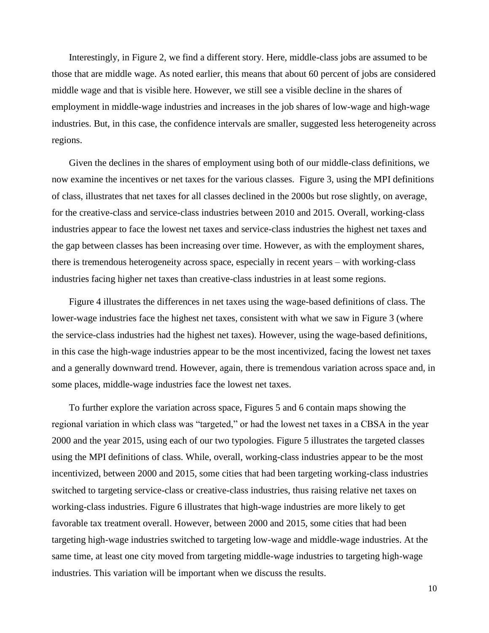Interestingly, in Figure 2, we find a different story. Here, middle-class jobs are assumed to be those that are middle wage. As noted earlier, this means that about 60 percent of jobs are considered middle wage and that is visible here. However, we still see a visible decline in the shares of employment in middle-wage industries and increases in the job shares of low-wage and high-wage industries. But, in this case, the confidence intervals are smaller, suggested less heterogeneity across regions.

Given the declines in the shares of employment using both of our middle-class definitions, we now examine the incentives or net taxes for the various classes. Figure 3, using the MPI definitions of class, illustrates that net taxes for all classes declined in the 2000s but rose slightly, on average, for the creative-class and service-class industries between 2010 and 2015. Overall, working-class industries appear to face the lowest net taxes and service-class industries the highest net taxes and the gap between classes has been increasing over time. However, as with the employment shares, there is tremendous heterogeneity across space, especially in recent years – with working-class industries facing higher net taxes than creative-class industries in at least some regions.

Figure 4 illustrates the differences in net taxes using the wage-based definitions of class. The lower-wage industries face the highest net taxes, consistent with what we saw in Figure 3 (where the service-class industries had the highest net taxes). However, using the wage-based definitions, in this case the high-wage industries appear to be the most incentivized, facing the lowest net taxes and a generally downward trend. However, again, there is tremendous variation across space and, in some places, middle-wage industries face the lowest net taxes.

To further explore the variation across space, Figures 5 and 6 contain maps showing the regional variation in which class was "targeted," or had the lowest net taxes in a CBSA in the year 2000 and the year 2015, using each of our two typologies. Figure 5 illustrates the targeted classes using the MPI definitions of class. While, overall, working-class industries appear to be the most incentivized, between 2000 and 2015, some cities that had been targeting working-class industries switched to targeting service-class or creative-class industries, thus raising relative net taxes on working-class industries. Figure 6 illustrates that high-wage industries are more likely to get favorable tax treatment overall. However, between 2000 and 2015, some cities that had been targeting high-wage industries switched to targeting low-wage and middle-wage industries. At the same time, at least one city moved from targeting middle-wage industries to targeting high-wage industries. This variation will be important when we discuss the results.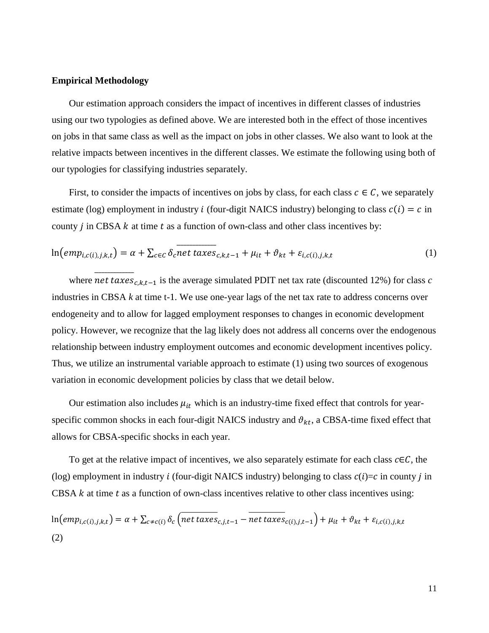### **Empirical Methodology**

Our estimation approach considers the impact of incentives in different classes of industries using our two typologies as defined above. We are interested both in the effect of those incentives on jobs in that same class as well as the impact on jobs in other classes. We also want to look at the relative impacts between incentives in the different classes. We estimate the following using both of our typologies for classifying industries separately.

First, to consider the impacts of incentives on jobs by class, for each class  $c \in \mathcal{C}$ , we separately estimate (log) employment in industry *i* (four-digit NAICS industry) belonging to class  $c(i) = c$  in county  $j$  in CBSA  $k$  at time  $t$  as a function of own-class and other class incentives by:

$$
\ln\left(\text{emp}_{i,c(i),j,k,t}\right) = \alpha + \sum_{c \in C} \delta_c \overline{\text{net taxes}}_{c,k,t-1} + \mu_{it} + \vartheta_{kt} + \varepsilon_{i,c(i),j,k,t} \tag{1}
$$

where  $\overline{net \; taxes_{c,k,t-1}}$  is the average simulated PDIT net tax rate (discounted 12%) for class *c* industries in CBSA *k* at time t-1. We use one-year lags of the net tax rate to address concerns over endogeneity and to allow for lagged employment responses to changes in economic development policy. However, we recognize that the lag likely does not address all concerns over the endogenous relationship between industry employment outcomes and economic development incentives policy. Thus, we utilize an instrumental variable approach to estimate (1) using two sources of exogenous variation in economic development policies by class that we detail below.

Our estimation also includes  $\mu_{it}$  which is an industry-time fixed effect that controls for yearspecific common shocks in each four-digit NAICS industry and  $\vartheta_{kt}$ , a CBSA-time fixed effect that allows for CBSA-specific shocks in each year.

To get at the relative impact of incentives, we also separately estimate for each class  $c \in \mathcal{C}$ , the (log) employment in industry *i* (four-digit NAICS industry) belonging to class  $c(i)=c$  in county *j* in CBSA  $k$  at time  $t$  as a function of own-class incentives relative to other class incentives using:

$$
\ln\left(\text{emp}_{i,c(i),j,k,t}\right) = \alpha + \sum_{c \neq c(i)} \delta_c \left(\text{net taxes}_{c,j,t-1} - \text{net taxes}_{c(i),j,t-1}\right) + \mu_{it} + \vartheta_{kt} + \varepsilon_{i,c(i),j,k,t}
$$
\n(2)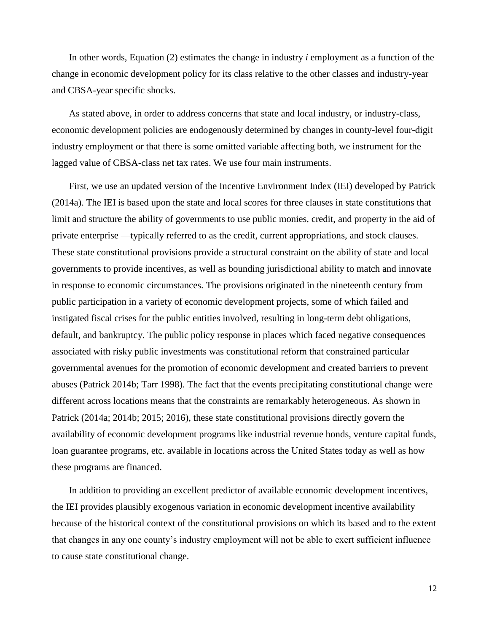In other words, Equation (2) estimates the change in industry *i* employment as a function of the change in economic development policy for its class relative to the other classes and industry-year and CBSA-year specific shocks.

As stated above, in order to address concerns that state and local industry, or industry-class, economic development policies are endogenously determined by changes in county-level four-digit industry employment or that there is some omitted variable affecting both, we instrument for the lagged value of CBSA-class net tax rates. We use four main instruments.

First, we use an updated version of the Incentive Environment Index (IEI) developed by Patrick (2014a). The IEI is based upon the state and local scores for three clauses in state constitutions that limit and structure the ability of governments to use public monies, credit, and property in the aid of private enterprise —typically referred to as the credit, current appropriations, and stock clauses. These state constitutional provisions provide a structural constraint on the ability of state and local governments to provide incentives, as well as bounding jurisdictional ability to match and innovate in response to economic circumstances. The provisions originated in the nineteenth century from public participation in a variety of economic development projects, some of which failed and instigated fiscal crises for the public entities involved, resulting in long-term debt obligations, default, and bankruptcy. The public policy response in places which faced negative consequences associated with risky public investments was constitutional reform that constrained particular governmental avenues for the promotion of economic development and created barriers to prevent abuses (Patrick 2014b; Tarr 1998). The fact that the events precipitating constitutional change were different across locations means that the constraints are remarkably heterogeneous. As shown in Patrick (2014a; 2014b; 2015; 2016), these state constitutional provisions directly govern the availability of economic development programs like industrial revenue bonds, venture capital funds, loan guarantee programs, etc. available in locations across the United States today as well as how these programs are financed.

In addition to providing an excellent predictor of available economic development incentives, the IEI provides plausibly exogenous variation in economic development incentive availability because of the historical context of the constitutional provisions on which its based and to the extent that changes in any one county's industry employment will not be able to exert sufficient influence to cause state constitutional change.

12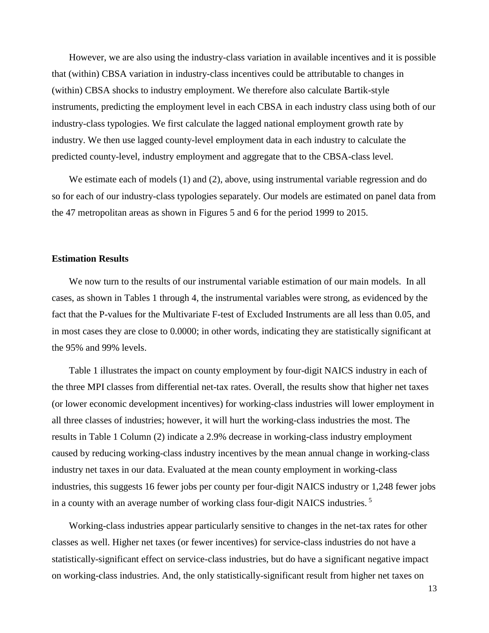However, we are also using the industry-class variation in available incentives and it is possible that (within) CBSA variation in industry-class incentives could be attributable to changes in (within) CBSA shocks to industry employment. We therefore also calculate Bartik-style instruments, predicting the employment level in each CBSA in each industry class using both of our industry-class typologies. We first calculate the lagged national employment growth rate by industry. We then use lagged county-level employment data in each industry to calculate the predicted county-level, industry employment and aggregate that to the CBSA-class level.

We estimate each of models (1) and (2), above, using instrumental variable regression and do so for each of our industry-class typologies separately. Our models are estimated on panel data from the 47 metropolitan areas as shown in Figures 5 and 6 for the period 1999 to 2015.

#### **Estimation Results**

We now turn to the results of our instrumental variable estimation of our main models. In all cases, as shown in Tables 1 through 4, the instrumental variables were strong, as evidenced by the fact that the P-values for the Multivariate F-test of Excluded Instruments are all less than 0.05, and in most cases they are close to 0.0000; in other words, indicating they are statistically significant at the 95% and 99% levels.

Table 1 illustrates the impact on county employment by four-digit NAICS industry in each of the three MPI classes from differential net-tax rates. Overall, the results show that higher net taxes (or lower economic development incentives) for working-class industries will lower employment in all three classes of industries; however, it will hurt the working-class industries the most. The results in Table 1 Column (2) indicate a 2.9% decrease in working-class industry employment caused by reducing working-class industry incentives by the mean annual change in working-class industry net taxes in our data. Evaluated at the mean county employment in working-class industries, this suggests 16 fewer jobs per county per four-digit NAICS industry or 1,248 fewer jobs in a county with an average number of working class four-digit NAICS industries.<sup>5</sup>

Working-class industries appear particularly sensitive to changes in the net-tax rates for other classes as well. Higher net taxes (or fewer incentives) for service-class industries do not have a statistically-significant effect on service-class industries, but do have a significant negative impact on working-class industries. And, the only statistically-significant result from higher net taxes on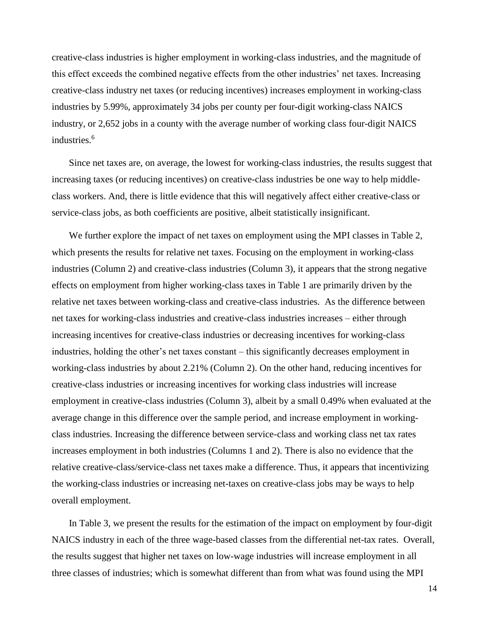creative-class industries is higher employment in working-class industries, and the magnitude of this effect exceeds the combined negative effects from the other industries' net taxes. Increasing creative-class industry net taxes (or reducing incentives) increases employment in working-class industries by 5.99%, approximately 34 jobs per county per four-digit working-class NAICS industry, or 2,652 jobs in a county with the average number of working class four-digit NAICS industries.<sup>6</sup>

Since net taxes are, on average, the lowest for working-class industries, the results suggest that increasing taxes (or reducing incentives) on creative-class industries be one way to help middleclass workers. And, there is little evidence that this will negatively affect either creative-class or service-class jobs, as both coefficients are positive, albeit statistically insignificant.

We further explore the impact of net taxes on employment using the MPI classes in Table 2, which presents the results for relative net taxes. Focusing on the employment in working-class industries (Column 2) and creative-class industries (Column 3), it appears that the strong negative effects on employment from higher working-class taxes in Table 1 are primarily driven by the relative net taxes between working-class and creative-class industries. As the difference between net taxes for working-class industries and creative-class industries increases – either through increasing incentives for creative-class industries or decreasing incentives for working-class industries, holding the other's net taxes constant – this significantly decreases employment in working-class industries by about 2.21% (Column 2). On the other hand, reducing incentives for creative-class industries or increasing incentives for working class industries will increase employment in creative-class industries (Column 3), albeit by a small 0.49% when evaluated at the average change in this difference over the sample period, and increase employment in workingclass industries. Increasing the difference between service-class and working class net tax rates increases employment in both industries (Columns 1 and 2). There is also no evidence that the relative creative-class/service-class net taxes make a difference. Thus, it appears that incentivizing the working-class industries or increasing net-taxes on creative-class jobs may be ways to help overall employment.

In Table 3, we present the results for the estimation of the impact on employment by four-digit NAICS industry in each of the three wage-based classes from the differential net-tax rates. Overall, the results suggest that higher net taxes on low-wage industries will increase employment in all three classes of industries; which is somewhat different than from what was found using the MPI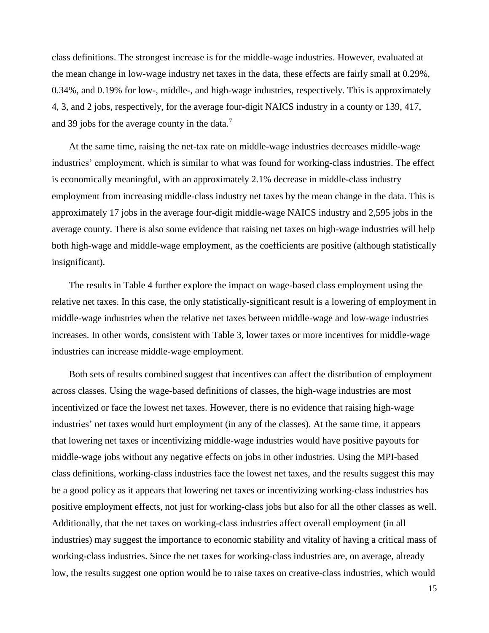class definitions. The strongest increase is for the middle-wage industries. However, evaluated at the mean change in low-wage industry net taxes in the data, these effects are fairly small at 0.29%, 0.34%, and 0.19% for low-, middle-, and high-wage industries, respectively. This is approximately 4, 3, and 2 jobs, respectively, for the average four-digit NAICS industry in a county or 139, 417, and 39 jobs for the average county in the data.<sup>7</sup>

At the same time, raising the net-tax rate on middle-wage industries decreases middle-wage industries' employment, which is similar to what was found for working-class industries. The effect is economically meaningful, with an approximately 2.1% decrease in middle-class industry employment from increasing middle-class industry net taxes by the mean change in the data. This is approximately 17 jobs in the average four-digit middle-wage NAICS industry and 2,595 jobs in the average county. There is also some evidence that raising net taxes on high-wage industries will help both high-wage and middle-wage employment, as the coefficients are positive (although statistically insignificant).

The results in Table 4 further explore the impact on wage-based class employment using the relative net taxes. In this case, the only statistically-significant result is a lowering of employment in middle-wage industries when the relative net taxes between middle-wage and low-wage industries increases. In other words, consistent with Table 3, lower taxes or more incentives for middle-wage industries can increase middle-wage employment.

Both sets of results combined suggest that incentives can affect the distribution of employment across classes. Using the wage-based definitions of classes, the high-wage industries are most incentivized or face the lowest net taxes. However, there is no evidence that raising high-wage industries' net taxes would hurt employment (in any of the classes). At the same time, it appears that lowering net taxes or incentivizing middle-wage industries would have positive payouts for middle-wage jobs without any negative effects on jobs in other industries. Using the MPI-based class definitions, working-class industries face the lowest net taxes, and the results suggest this may be a good policy as it appears that lowering net taxes or incentivizing working-class industries has positive employment effects, not just for working-class jobs but also for all the other classes as well. Additionally, that the net taxes on working-class industries affect overall employment (in all industries) may suggest the importance to economic stability and vitality of having a critical mass of working-class industries. Since the net taxes for working-class industries are, on average, already low, the results suggest one option would be to raise taxes on creative-class industries, which would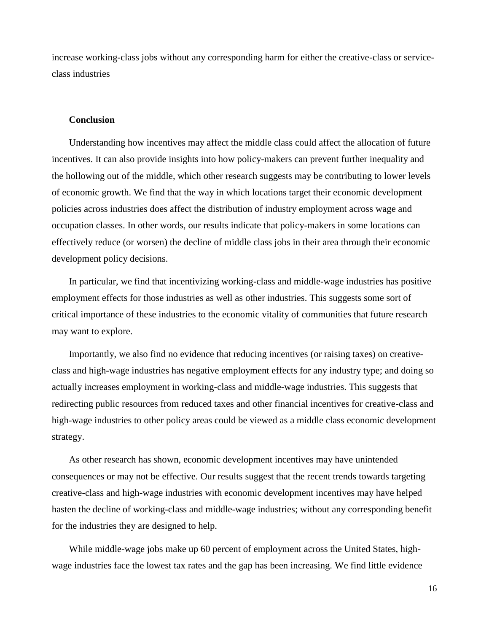increase working-class jobs without any corresponding harm for either the creative-class or serviceclass industries

## **Conclusion**

Understanding how incentives may affect the middle class could affect the allocation of future incentives. It can also provide insights into how policy-makers can prevent further inequality and the hollowing out of the middle, which other research suggests may be contributing to lower levels of economic growth. We find that the way in which locations target their economic development policies across industries does affect the distribution of industry employment across wage and occupation classes. In other words, our results indicate that policy-makers in some locations can effectively reduce (or worsen) the decline of middle class jobs in their area through their economic development policy decisions.

In particular, we find that incentivizing working-class and middle-wage industries has positive employment effects for those industries as well as other industries. This suggests some sort of critical importance of these industries to the economic vitality of communities that future research may want to explore.

Importantly, we also find no evidence that reducing incentives (or raising taxes) on creativeclass and high-wage industries has negative employment effects for any industry type; and doing so actually increases employment in working-class and middle-wage industries. This suggests that redirecting public resources from reduced taxes and other financial incentives for creative-class and high-wage industries to other policy areas could be viewed as a middle class economic development strategy.

As other research has shown, economic development incentives may have unintended consequences or may not be effective. Our results suggest that the recent trends towards targeting creative-class and high-wage industries with economic development incentives may have helped hasten the decline of working-class and middle-wage industries; without any corresponding benefit for the industries they are designed to help.

While middle-wage jobs make up 60 percent of employment across the United States, highwage industries face the lowest tax rates and the gap has been increasing. We find little evidence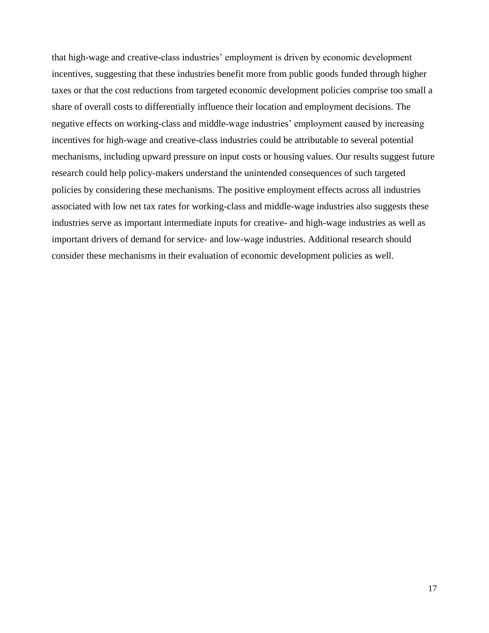that high-wage and creative-class industries' employment is driven by economic development incentives, suggesting that these industries benefit more from public goods funded through higher taxes or that the cost reductions from targeted economic development policies comprise too small a share of overall costs to differentially influence their location and employment decisions. The negative effects on working-class and middle-wage industries' employment caused by increasing incentives for high-wage and creative-class industries could be attributable to several potential mechanisms, including upward pressure on input costs or housing values. Our results suggest future research could help policy-makers understand the unintended consequences of such targeted policies by considering these mechanisms. The positive employment effects across all industries associated with low net tax rates for working-class and middle-wage industries also suggests these industries serve as important intermediate inputs for creative- and high-wage industries as well as important drivers of demand for service- and low-wage industries. Additional research should consider these mechanisms in their evaluation of economic development policies as well.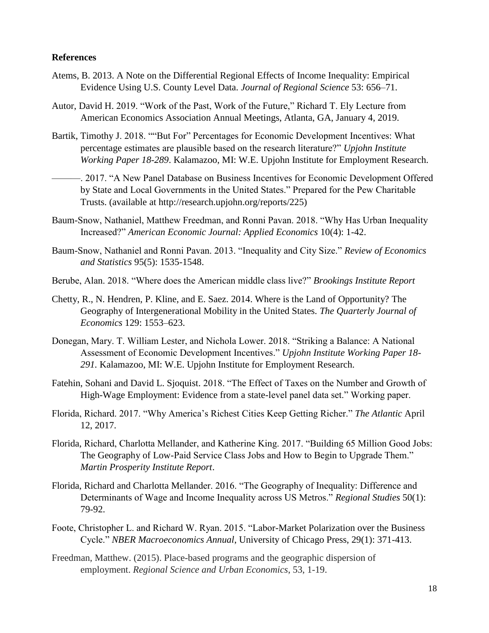## **References**

- Atems, B. 2013. A Note on the Differential Regional Effects of Income Inequality: Empirical Evidence Using U.S. County Level Data. *Journal of Regional Science* 53: 656–71.
- Autor, David H. 2019. "Work of the Past, Work of the Future," Richard T. Ely Lecture from American Economics Association Annual Meetings, Atlanta, GA, January 4, 2019.
- Bartik, Timothy J. 2018. ""But For" Percentages for Economic Development Incentives: What percentage estimates are plausible based on the research literature?" *Upjohn Institute Working Paper 18-289*. Kalamazoo, MI: W.E. Upjohn Institute for Employment Research.
- ———. 2017. "A New Panel Database on Business Incentives for Economic Development Offered by State and Local Governments in the United States." Prepared for the Pew Charitable Trusts. (available at http://research.upjohn.org/reports/225)
- Baum-Snow, Nathaniel, Matthew Freedman, and Ronni Pavan. 2018. "Why Has Urban Inequality Increased?" *American Economic Journal: Applied Economics* 10(4): 1-42.
- Baum-Snow, Nathaniel and Ronni Pavan. 2013. "Inequality and City Size." *Review of Economics and Statistics* 95(5): 1535-1548.
- Berube, Alan. 2018. "Where does the American middle class live?" *Brookings Institute Report*
- Chetty, R., N. Hendren, P. Kline, and E. Saez. 2014. Where is the Land of Opportunity? The Geography of Intergenerational Mobility in the United States. *The Quarterly Journal of Economics* 129: 1553–623.
- Donegan, Mary. T. William Lester, and Nichola Lower. 2018. "Striking a Balance: A National Assessment of Economic Development Incentives." *Upjohn Institute Working Paper 18- 291.* Kalamazoo, MI: W.E. Upjohn Institute for Employment Research.
- Fatehin, Sohani and David L. Sjoquist. 2018. "The Effect of Taxes on the Number and Growth of High-Wage Employment: Evidence from a state-level panel data set." Working paper.
- Florida, Richard. 2017. "Why America's Richest Cities Keep Getting Richer." *The Atlantic* April 12, 2017.
- Florida, Richard, Charlotta Mellander, and Katherine King. 2017. "Building 65 Million Good Jobs: The Geography of Low-Paid Service Class Jobs and How to Begin to Upgrade Them." *Martin Prosperity Institute Report*.
- Florida, Richard and Charlotta Mellander. 2016. "The Geography of Inequality: Difference and Determinants of Wage and Income Inequality across US Metros." *Regional Studies* 50(1): 79-92.
- Foote, Christopher L. and Richard W. Ryan. 2015. "Labor-Market Polarization over the Business Cycle." *NBER Macroeconomics Annual*, University of Chicago Press, 29(1): 371-413.
- Freedman, Matthew. (2015). Place-based programs and the geographic dispersion of employment. *Regional Science and Urban Economics*, 53, 1-19.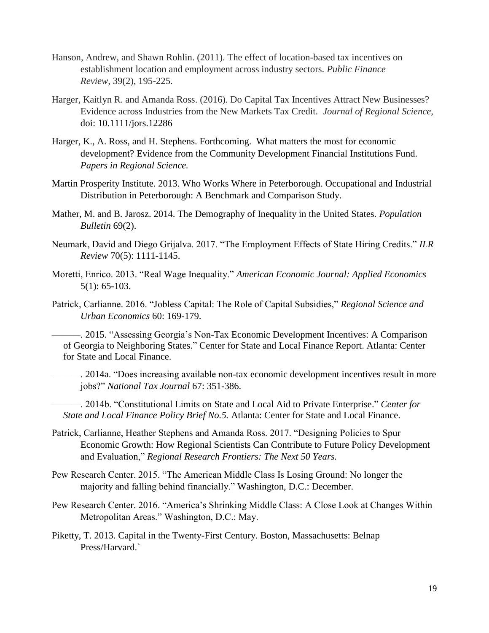- Hanson, Andrew, and Shawn Rohlin. (2011). The effect of location-based tax incentives on establishment location and employment across industry sectors. *Public Finance Review,* 39(2), 195-225.
- Harger, Kaitlyn R. and Amanda Ross. (2016)*.* Do Capital Tax Incentives Attract New Businesses? Evidence across Industries from the New Markets Tax Credit. *Journal of Regional Science,*  doi: 10.1111/jors.12286
- Harger, K., A. Ross, and H. Stephens. Forthcoming. What matters the most for economic development? Evidence from the Community Development Financial Institutions Fund. *Papers in Regional Science.*
- Martin Prosperity Institute. 2013. Who Works Where in Peterborough. Occupational and Industrial Distribution in Peterborough: A Benchmark and Comparison Study.
- Mather, M. and B. Jarosz. 2014. The Demography of Inequality in the United States. *Population Bulletin* 69(2).
- Neumark, David and Diego Grijalva. 2017. "The Employment Effects of State Hiring Credits." *ILR Review* 70(5): 1111-1145.
- Moretti, Enrico. 2013. "Real Wage Inequality." *American Economic Journal: Applied Economics* 5(1): 65-103.
- Patrick, Carlianne. 2016. "Jobless Capital: The Role of Capital Subsidies," *Regional Science and Urban Economics* 60: 169-179.

———. 2015. "Assessing Georgia's Non-Tax Economic Development Incentives: A Comparison of Georgia to Neighboring States." Center for State and Local Finance Report. Atlanta: Center for State and Local Finance.

———. 2014a. "Does increasing available non-tax economic development incentives result in more jobs?" *National Tax Journal* 67: 351-386.

———. 2014b. "Constitutional Limits on State and Local Aid to Private Enterprise." *Center for State and Local Finance Policy Brief No.5.* Atlanta: Center for State and Local Finance.

- Patrick, Carlianne, Heather Stephens and Amanda Ross. 2017. "Designing Policies to Spur Economic Growth: How Regional Scientists Can Contribute to Future Policy Development and Evaluation," *Regional Research Frontiers: The Next 50 Years.*
- Pew Research Center. 2015. "The American Middle Class Is Losing Ground: No longer the majority and falling behind financially." Washington, D.C.: December.
- Pew Research Center. 2016. "America's Shrinking Middle Class: A Close Look at Changes Within Metropolitan Areas." Washington, D.C.: May.
- Piketty, T. 2013. Capital in the Twenty-First Century. Boston, Massachusetts: Belnap Press/Harvard.`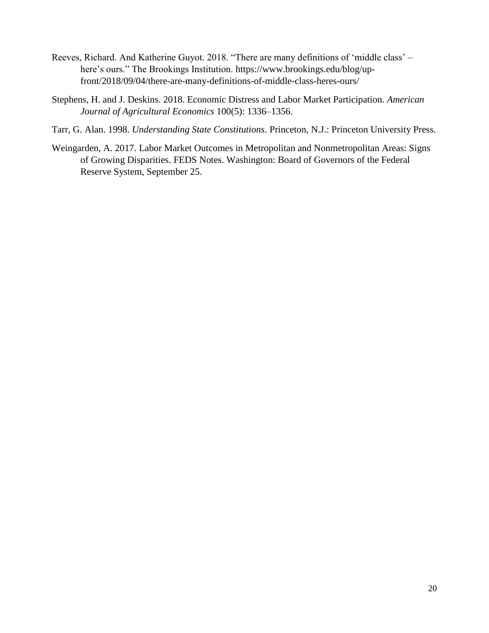- Reeves, Richard. And Katherine Guyot. 2018. "There are many definitions of 'middle class' here's ours." The Brookings Institution. https://www.brookings.edu/blog/upfront/2018/09/04/there-are-many-definitions-of-middle-class-heres-ours/
- Stephens, H. and J. Deskins. 2018. Economic Distress and Labor Market Participation. *American Journal of Agricultural Economics* 100(5): 1336–1356.
- Tarr, G. Alan. 1998. *Understanding State Constitutions*. Princeton, N.J.: Princeton University Press.
- Weingarden, A. 2017. Labor Market Outcomes in Metropolitan and Nonmetropolitan Areas: Signs of Growing Disparities. FEDS Notes. Washington: Board of Governors of the Federal Reserve System, September 25.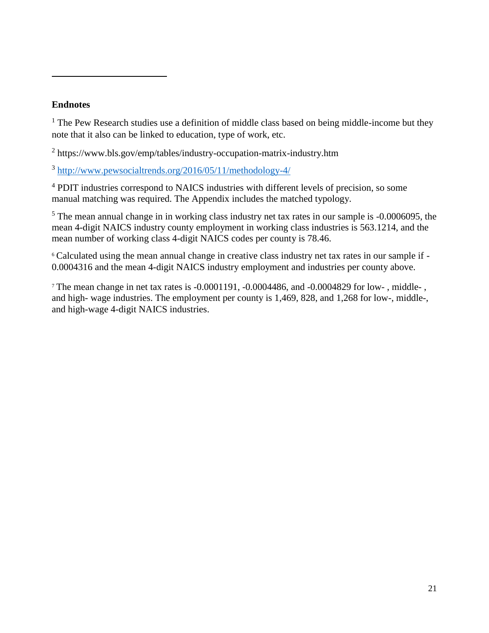# **Endnotes**

 $\overline{a}$ 

 $<sup>1</sup>$  The Pew Research studies use a definition of middle class based on being middle-income but they</sup> note that it also can be linked to education, type of work, etc.

<sup>2</sup> https://www.bls.gov/emp/tables/industry-occupation-matrix-industry.htm

<sup>3</sup> <http://www.pewsocialtrends.org/2016/05/11/methodology-4/>

<sup>4</sup> PDIT industries correspond to NAICS industries with different levels of precision, so some manual matching was required. The Appendix includes the matched typology.

<sup>5</sup> The mean annual change in in working class industry net tax rates in our sample is -0.0006095, the mean 4-digit NAICS industry county employment in working class industries is 563.1214, and the mean number of working class 4-digit NAICS codes per county is 78.46.

<sup>6</sup> Calculated using the mean annual change in creative class industry net tax rates in our sample if - 0.0004316 and the mean 4-digit NAICS industry employment and industries per county above.

<sup>7</sup> The mean change in net tax rates is -0.0001191, -0.0004486, and -0.0004829 for low- , middle- , and high- wage industries. The employment per county is 1,469, 828, and 1,268 for low-, middle-, and high-wage 4-digit NAICS industries.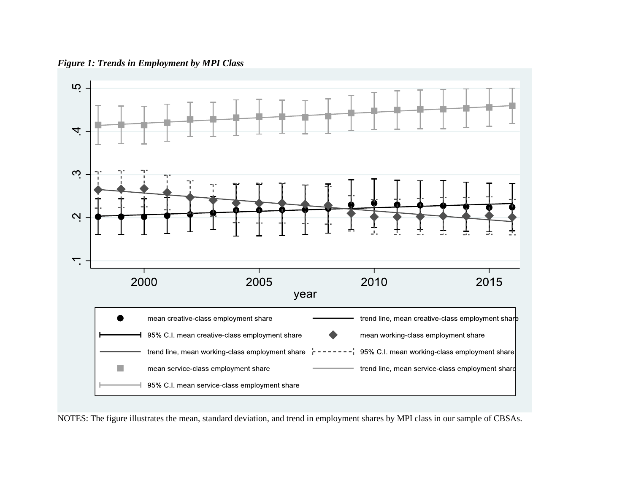*Figure 1: Trends in Employment by MPI Class*



NOTES: The figure illustrates the mean, standard deviation, and trend in employment shares by MPI class in our sample of CBSAs.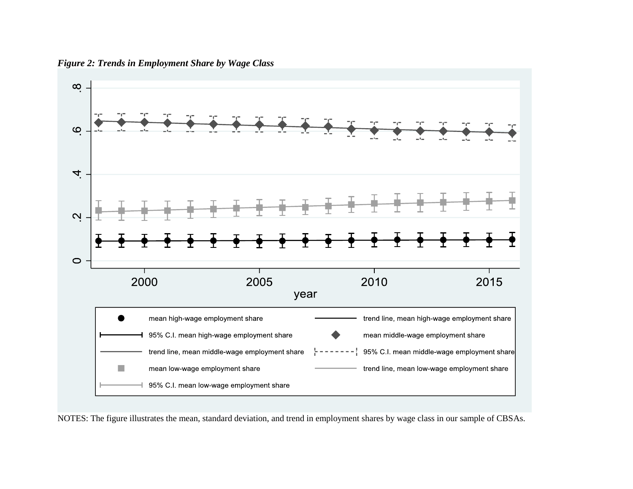

*Figure 2: Trends in Employment Share by Wage Class*

NOTES: The figure illustrates the mean, standard deviation, and trend in employment shares by wage class in our sample of CBSAs.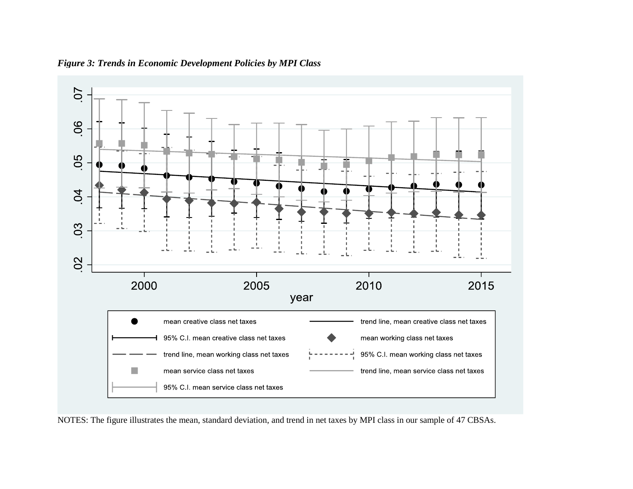

*Figure 3: Trends in Economic Development Policies by MPI Class*

NOTES: The figure illustrates the mean, standard deviation, and trend in net taxes by MPI class in our sample of 47 CBSAs.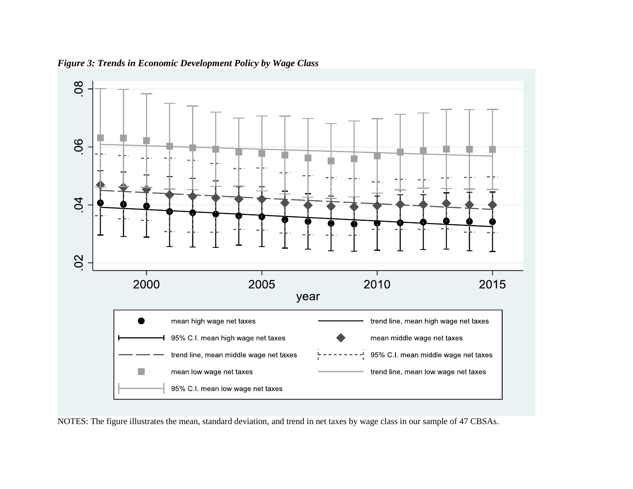

*Figure 3: Trends in Economic Development Policy by Wage Class*

NOTES: The figure illustrates the mean, standard deviation, and trend in net taxes by wage class in our sample of 47 CBSAs.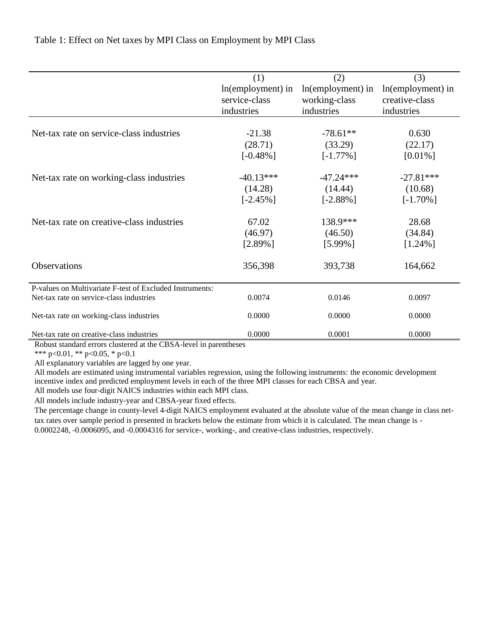|                                                                             | (1)               | (2)               | (3)               |
|-----------------------------------------------------------------------------|-------------------|-------------------|-------------------|
|                                                                             | In(employment) in | In(employment) in | In(employment) in |
|                                                                             | service-class     | working-class     | creative-class    |
|                                                                             | industries        | industries        | industries        |
|                                                                             |                   |                   |                   |
| Net-tax rate on service-class industries                                    | $-21.38$          | $-78.61**$        | 0.630             |
|                                                                             | (28.71)           | (33.29)           | (22.17)           |
|                                                                             | $[-0.48\%]$       | $[-1.77\%]$       | $[0.01\%]$        |
| Net-tax rate on working-class industries                                    | $-40.13***$       | $-47.24***$       | $-27.81***$       |
|                                                                             | (14.28)           | (14.44)           | (10.68)           |
|                                                                             | $[-2.45\%]$       | $[-2.88\%]$       | $[-1.70\%]$       |
| Net-tax rate on creative-class industries                                   | 67.02             | 138.9***          | 28.68             |
|                                                                             | (46.97)           | (46.50)           | (34.84)           |
|                                                                             | $[2.89\%]$        | $[5.99\%]$        | $[1.24\%]$        |
| Observations                                                                | 356,398           | 393,738           | 164,662           |
| P-values on Multivariate F-test of Excluded Instruments:                    |                   |                   |                   |
| Net-tax rate on service-class industries                                    | 0.0074            | 0.0146            | 0.0097            |
| Net-tax rate on working-class industries                                    | 0.0000            | 0.0000            | 0.0000            |
| Net-tax rate on creative-class industries<br>$\alpha$ n $\alpha$ , $\alpha$ | 0.0000            | 0.0001            | 0.0000            |

Table 1: Effect on Net taxes by MPI Class on Employment by MPI Class

Robust standard errors clustered at the CBSA-level in parentheses

\*\*\* p<0.01, \*\* p<0.05, \* p<0.1

All explanatory variables are lagged by one year.

All models are estimated using instrumental variables regression, using the following instruments: the economic development incentive index and predicted employment levels in each of the three MPI classes for each CBSA and year.

All models use four-digit NAICS industries within each MPI class.

All models include industry-year and CBSA-year fixed effects.

The percentage change in county-level 4-digit NAICS employment evaluated at the absolute value of the mean change in class nettax rates over sample period is presented in brackets below the estimate from which it is calculated. The mean change is - 0.0002248, -0.0006095, and -0.0004316 for service-, working-, and creative-class industries, respectively.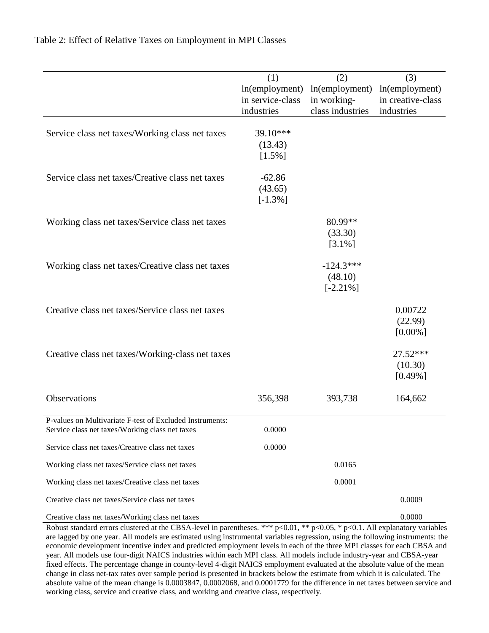|                                                          | (1)              | (2)              | (3)                 |
|----------------------------------------------------------|------------------|------------------|---------------------|
|                                                          | ln(employment)   | ln(employment)   | ln(employment)      |
|                                                          | in service-class | in working-      | in creative-class   |
|                                                          | industries       | class industries | industries          |
| Service class net taxes/Working class net taxes          | 39.10***         |                  |                     |
|                                                          | (13.43)          |                  |                     |
|                                                          | $[1.5\%]$        |                  |                     |
| Service class net taxes/Creative class net taxes         | $-62.86$         |                  |                     |
|                                                          | (43.65)          |                  |                     |
|                                                          | $[-1.3\%]$       |                  |                     |
|                                                          |                  |                  |                     |
| Working class net taxes/Service class net taxes          |                  | 80.99**          |                     |
|                                                          |                  | (33.30)          |                     |
|                                                          |                  | $[3.1\%]$        |                     |
| Working class net taxes/Creative class net taxes         |                  | $-124.3***$      |                     |
|                                                          |                  | (48.10)          |                     |
|                                                          |                  | $[-2.21\%]$      |                     |
| Creative class net taxes/Service class net taxes         |                  |                  | 0.00722             |
|                                                          |                  |                  | (22.99)             |
|                                                          |                  |                  | $[0.00\%]$          |
|                                                          |                  |                  |                     |
| Creative class net taxes/Working-class net taxes         |                  |                  | 27.52***<br>(10.30) |
|                                                          |                  |                  | $[0.49\%]$          |
|                                                          |                  |                  |                     |
| Observations                                             | 356,398          | 393,738          | 164,662             |
| P-values on Multivariate F-test of Excluded Instruments: |                  |                  |                     |
| Service class net taxes/Working class net taxes          | 0.0000           |                  |                     |
| Service class net taxes/Creative class net taxes         | 0.0000           |                  |                     |
| Working class net taxes/Service class net taxes          |                  | 0.0165           |                     |
| Working class net taxes/Creative class net taxes         |                  | 0.0001           |                     |
| Creative class net taxes/Service class net taxes         |                  |                  | 0.0009              |
| Creative class net taxes/Working class net taxes         |                  |                  | 0.0000              |

Table 2: Effect of Relative Taxes on Employment in MPI Classes

Robust standard errors clustered at the CBSA-level in parentheses. \*\*\* p<0.01, \*\* p<0.05, \* p<0.1. All explanatory variables are lagged by one year. All models are estimated using instrumental variables regression, using the following instruments: the economic development incentive index and predicted employment levels in each of the three MPI classes for each CBSA and year. All models use four-digit NAICS industries within each MPI class. All models include industry-year and CBSA-year fixed effects. The percentage change in county-level 4-digit NAICS employment evaluated at the absolute value of the mean change in class net-tax rates over sample period is presented in brackets below the estimate from which it is calculated. The absolute value of the mean change is 0.0003847, 0.0002068, and 0.0001779 for the difference in net taxes between service and working class, service and creative class, and working and creative class, respectively.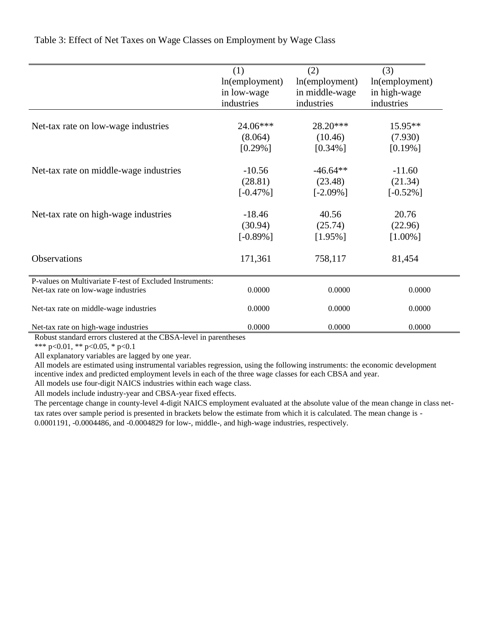|                                                                                                 | (1)               | (2)               | (3)            |
|-------------------------------------------------------------------------------------------------|-------------------|-------------------|----------------|
|                                                                                                 | $ln$ (employment) | $ln$ (employment) | ln(employment) |
|                                                                                                 | in low-wage       | in middle-wage    | in high-wage   |
|                                                                                                 | industries        | industries        | industries     |
| Net-tax rate on low-wage industries                                                             | 24.06***          | 28.20***          | $15.95**$      |
|                                                                                                 | (8.064)           | (10.46)           | (7.930)        |
|                                                                                                 | $[0.29\%]$        | $[0.34\%]$        | $[0.19\%]$     |
| Net-tax rate on middle-wage industries                                                          | $-10.56$          | $-46.64**$        | $-11.60$       |
|                                                                                                 | (28.81)           | (23.48)           | (21.34)        |
|                                                                                                 | $[-0.47\%]$       | $[-2.09\%]$       | $[-0.52\%]$    |
| Net-tax rate on high-wage industries                                                            | $-18.46$          | 40.56             | 20.76          |
|                                                                                                 | (30.94)           | (25.74)           | (22.96)        |
|                                                                                                 | $[-0.89\%]$       | $[1.95\%]$        | $[1.00\%]$     |
| Observations                                                                                    | 171,361           | 758,117           | 81,454         |
| P-values on Multivariate F-test of Excluded Instruments:<br>Net-tax rate on low-wage industries | 0.0000            | 0.0000            | 0.0000         |
| Net-tax rate on middle-wage industries                                                          | 0.0000            | 0.0000            | 0.0000         |
| Net-tax rate on high-wage industries                                                            | 0.0000            | 0.0000            | 0.0000         |

Table 3: Effect of Net Taxes on Wage Classes on Employment by Wage Class

Robust standard errors clustered at the CBSA-level in parentheses

\*\*\* p<0.01, \*\* p<0.05, \* p<0.1

All explanatory variables are lagged by one year.

All models are estimated using instrumental variables regression, using the following instruments: the economic development incentive index and predicted employment levels in each of the three wage classes for each CBSA and year.

All models use four-digit NAICS industries within each wage class.

All models include industry-year and CBSA-year fixed effects.

The percentage change in county-level 4-digit NAICS employment evaluated at the absolute value of the mean change in class nettax rates over sample period is presented in brackets below the estimate from which it is calculated. The mean change is - 0.0001191, -0.0004486, and -0.0004829 for low-, middle-, and high-wage industries, respectively.